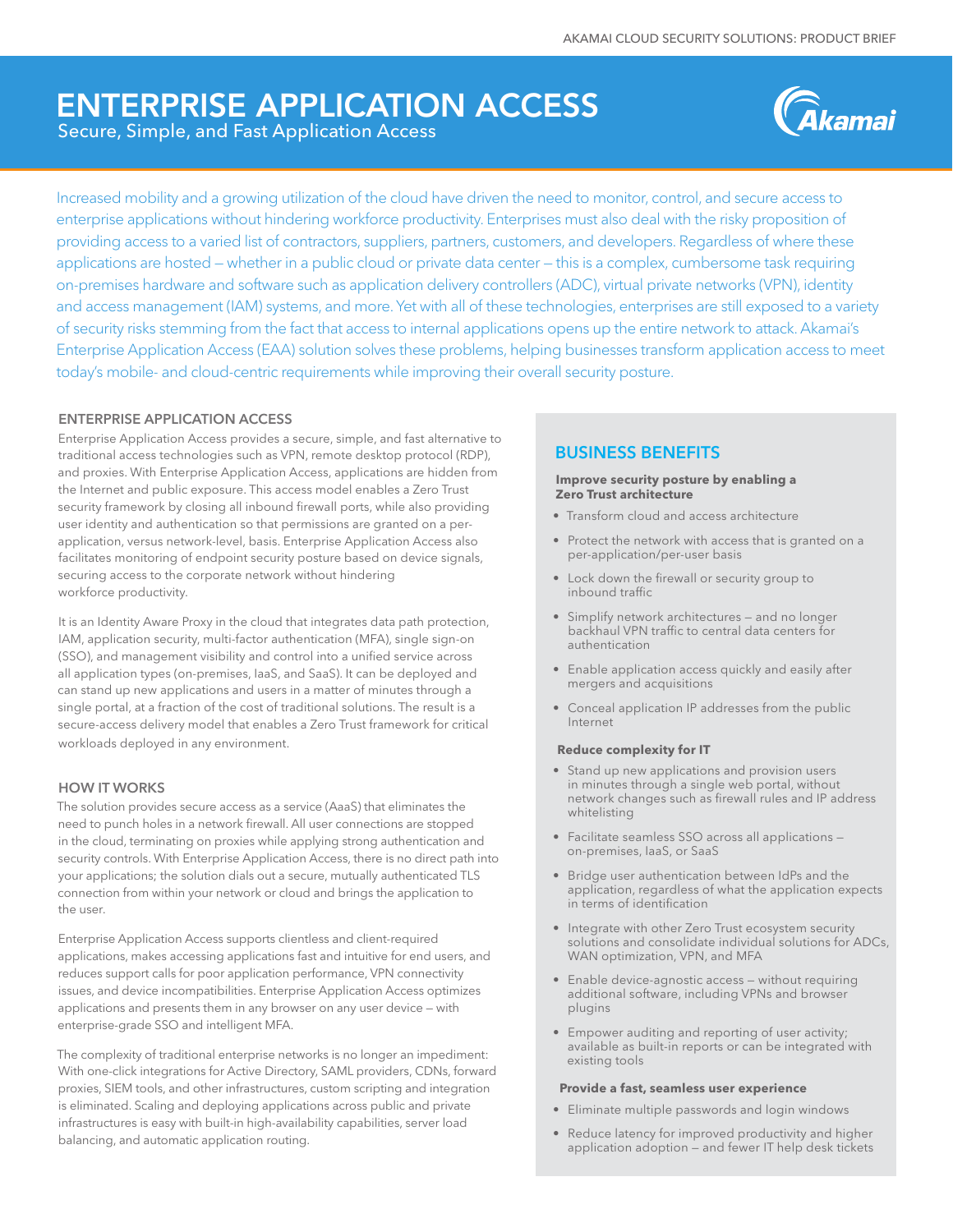## ENTERPRISE APPLICATION ACCESS Secure, Simple, and Fast Application Access



Increased mobility and a growing utilization of the cloud have driven the need to monitor, control, and secure access to enterprise applications without hindering workforce productivity. Enterprises must also deal with the risky proposition of providing access to a varied list of contractors, suppliers, partners, customers, and developers. Regardless of where these applications are hosted — whether in a public cloud or private data center — this is a complex, cumbersome task requiring on-premises hardware and software such as application delivery controllers (ADC), virtual private networks (VPN), identity and access management (IAM) systems, and more. Yet with all of these technologies, enterprises are still exposed to a variety of security risks stemming from the fact that access to internal applications opens up the entire network to attack. Akamai's Enterprise Application Access (EAA) solution solves these problems, helping businesses transform application access to meet today's mobile- and cloud-centric requirements while improving their overall security posture.

## ENTERPRISE APPLICATION ACCESS

Enterprise Application Access provides a secure, simple, and fast alternative to traditional access technologies such as VPN, remote desktop protocol (RDP), and proxies. With Enterprise Application Access, applications are hidden from the Internet and public exposure. This access model enables a Zero Trust security framework by closing all inbound firewall ports, while also providing user identity and authentication so that permissions are granted on a perapplication, versus network-level, basis. Enterprise Application Access also facilitates monitoring of endpoint security posture based on device signals, securing access to the corporate network without hindering workforce productivity.

It is an Identity Aware Proxy in the cloud that integrates data path protection, IAM, application security, multi-factor authentication (MFA), single sign-on (SSO), and management visibility and control into a unified service across all application types (on-premises, IaaS, and SaaS). It can be deployed and can stand up new applications and users in a matter of minutes through a single portal, at a fraction of the cost of traditional solutions. The result is a secure-access delivery model that enables a Zero Trust framework for critical workloads deployed in any environment.

## HOW IT WORKS

The solution provides secure access as a service (AaaS) that eliminates the need to punch holes in a network firewall. All user connections are stopped in the cloud, terminating on proxies while applying strong authentication and security controls. With Enterprise Application Access, there is no direct path into your applications; the solution dials out a secure, mutually authenticated TLS connection from within your network or cloud and brings the application to the user.

Enterprise Application Access supports clientless and client-required applications, makes accessing applications fast and intuitive for end users, and reduces support calls for poor application performance, VPN connectivity issues, and device incompatibilities. Enterprise Application Access optimizes applications and presents them in any browser on any user device — with enterprise-grade SSO and intelligent MFA.

The complexity of traditional enterprise networks is no longer an impediment: With one-click integrations for Active Directory, SAML providers, CDNs, forward proxies, SIEM tools, and other infrastructures, custom scripting and integration is eliminated. Scaling and deploying applications across public and private infrastructures is easy with built-in high-availability capabilities, server load balancing, and automatic application routing.

## BUSINESS BENEFITS

#### **Improve security posture by enabling a Zero Trust architecture**

- Transform cloud and access architecture
- Protect the network with access that is granted on a per-application/per-user basis
- Lock down the firewall or security group to inbound traffic
- Simplify network architectures and no longer backhaul VPN traffic to central data centers for authentication
- Enable application access quickly and easily after mergers and acquisitions
- Conceal application IP addresses from the public Internet

#### **Reduce complexity for IT**

- Stand up new applications and provision users in minutes through a single web portal, without network changes such as firewall rules and IP address whitelisting
- Facilitate seamless SSO across all applications on-premises, IaaS, or SaaS
- Bridge user authentication between IdPs and the application, regardless of what the application expects in terms of identification
- Integrate with other Zero Trust ecosystem security solutions and consolidate individual solutions for ADCs, WAN optimization, VPN, and MFA
- Enable device-agnostic access without requiring additional software, including VPNs and browser plugins
- Empower auditing and reporting of user activity; available as built-in reports or can be integrated with existing tools

#### **Provide a fast, seamless user experience**

- Eliminate multiple passwords and login windows
- Reduce latency for improved productivity and higher application adoption — and fewer IT help desk tickets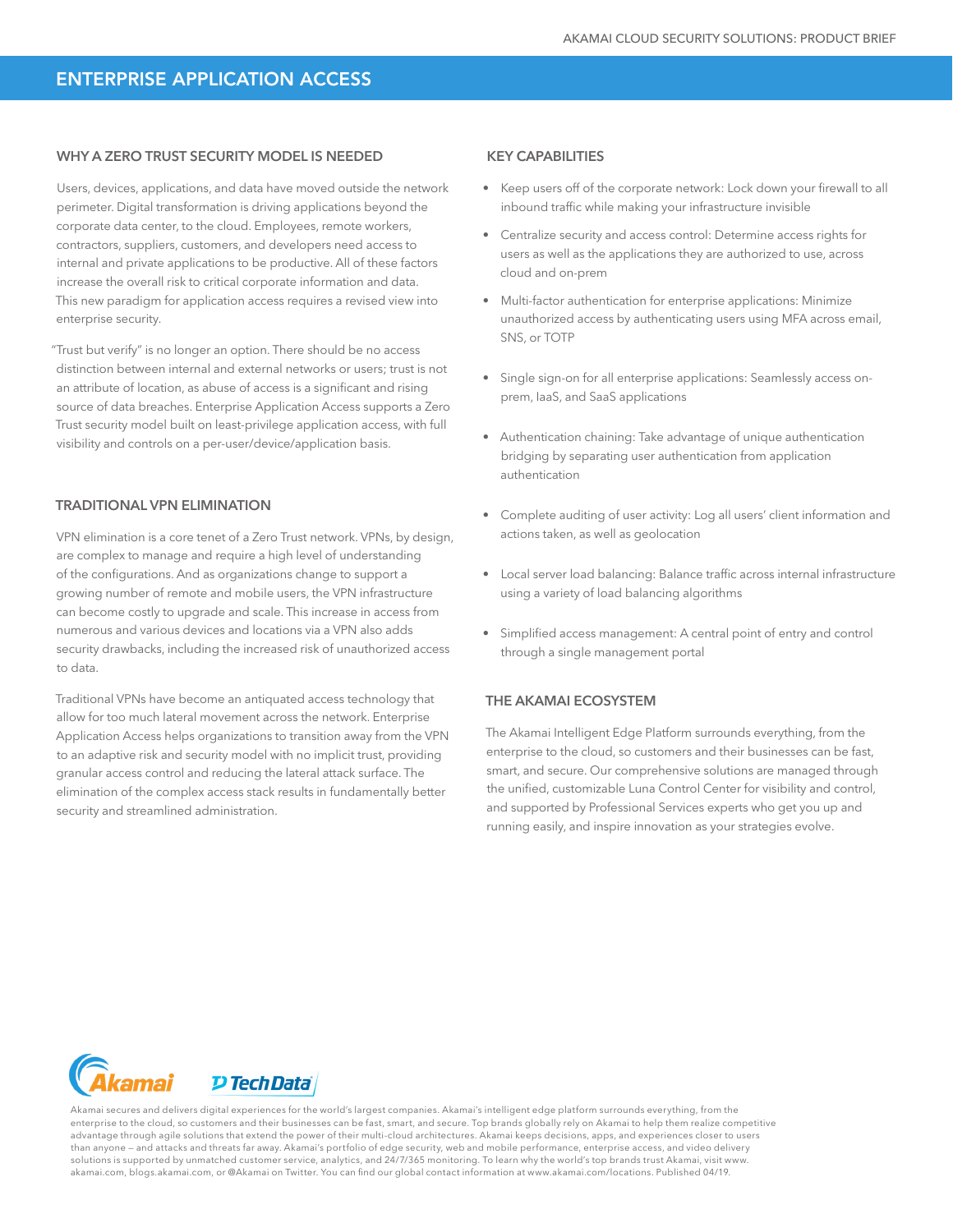## ENTERPRISE APPLICATION ACCESS

### WHY A ZERO TRUST SECURITY MODEL IS NEEDED

Users, devices, applications, and data have moved outside the network perimeter. Digital transformation is driving applications beyond the corporate data center, to the cloud. Employees, remote workers, contractors, suppliers, customers, and developers need access to internal and private applications to be productive. All of these factors increase the overall risk to critical corporate information and data. This new paradigm for application access requires a revised view into enterprise security.

"Trust but verify" is no longer an option. There should be no access distinction between internal and external networks or users; trust is not an attribute of location, as abuse of access is a significant and rising source of data breaches. Enterprise Application Access supports a Zero Trust security model built on least-privilege application access, with full visibility and controls on a per-user/device/application basis.

## TRADITIONAL VPN ELIMINATION

VPN elimination is a core tenet of a Zero Trust network. VPNs, by design, are complex to manage and require a high level of understanding of the configurations. And as organizations change to support a growing number of remote and mobile users, the VPN infrastructure can become costly to upgrade and scale. This increase in access from numerous and various devices and locations via a VPN also adds security drawbacks, including the increased risk of unauthorized access to data.

Traditional VPNs have become an antiquated access technology that allow for too much lateral movement across the network. Enterprise Application Access helps organizations to transition away from the VPN to an adaptive risk and security model with no implicit trust, providing granular access control and reducing the lateral attack surface. The elimination of the complex access stack results in fundamentally better security and streamlined administration.

## KEY CAPABILITIES

- Keep users off of the corporate network: Lock down your firewall to all inbound traffic while making your infrastructure invisible
- Centralize security and access control: Determine access rights for users as well as the applications they are authorized to use, across cloud and on-prem
- Multi-factor authentication for enterprise applications: Minimize unauthorized access by authenticating users using MFA across email, SNS, or TOTP
- Single sign-on for all enterprise applications: Seamlessly access onprem, IaaS, and SaaS applications
- Authentication chaining: Take advantage of unique authentication bridging by separating user authentication from application authentication
- Complete auditing of user activity: Log all users' client information and actions taken, as well as geolocation
- Local server load balancing: Balance traffic across internal infrastructure using a variety of load balancing algorithms
- Simplified access management: A central point of entry and control through a single management portal

## THE AKAMAI ECOSYSTEM

The Akamai Intelligent Edge Platform surrounds everything, from the enterprise to the cloud, so customers and their businesses can be fast, smart, and secure. Our comprehensive solutions are managed through the unified, customizable Luna Control Center for visibility and control, and supported by Professional Services experts who get you up and running easily, and inspire innovation as your strategies evolve.



Akamai secures and delivers digital experiences for the world's largest companies. Akamai's intelligent edge platform surrounds everything, from the enterprise to the cloud, so customers and their businesses can be fast, smart, and secure. Top brands globally rely on Akamai to help them realize competitive advantage through agile solutions that extend the power of their multi-cloud architectures. Akamai keeps decisions, apps, and experiences closer to users than anyone – and attacks and threats far away. Akamai's portfolio of edge security, web and mobile performance, enterprise access, and video delivery<br>solutions is supported by unmatched customer service, analytics, and 24 akamai.com, blogs.akamai.com, or @Akamai on Twitter. You can find our global contact information at www.akamai.com/locations. Published 04/19.